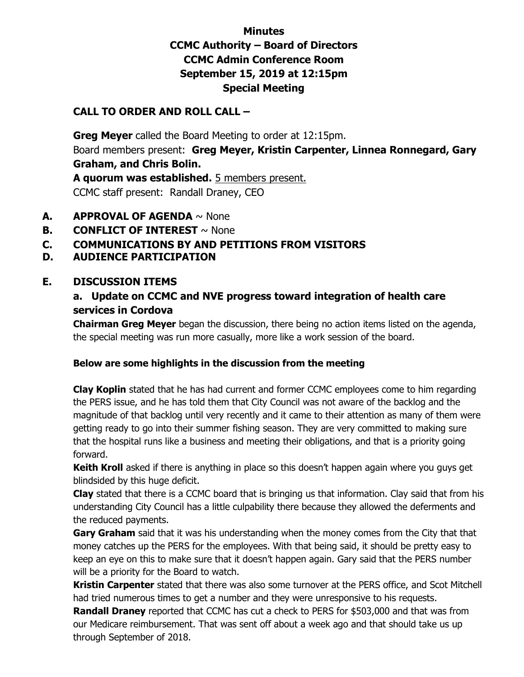# **Minutes CCMC Authority – Board of Directors CCMC Admin Conference Room September 15, 2019 at 12:15pm Special Meeting**

### **CALL TO ORDER AND ROLL CALL –**

 **Greg Meyer** called the Board Meeting to order at 12:15pm. Board members present: **Greg Meyer, Kristin Carpenter, Linnea Ronnegard, Gary Graham, and Chris Bolin. A quorum was established.** 5 members present. CCMC staff present: Randall Draney, CEO

- **A. APPROVAL OF AGENDA** ~ None
- **B. CONFLICT OF INTEREST**  $\sim$  None
- **C. COMMUNICATIONS BY AND PETITIONS FROM VISITORS**
- **D. AUDIENCE PARTICIPATION**

#### **E. DISCUSSION ITEMS**

## **a. Update on CCMC and NVE progress toward integration of health care services in Cordova**

**Chairman Greg Meyer** began the discussion, there being no action items listed on the agenda, the special meeting was run more casually, more like a work session of the board.

#### **Below are some highlights in the discussion from the meeting**

**Clay Koplin** stated that he has had current and former CCMC employees come to him regarding the PERS issue, and he has told them that City Council was not aware of the backlog and the magnitude of that backlog until very recently and it came to their attention as many of them were getting ready to go into their summer fishing season. They are very committed to making sure that the hospital runs like a business and meeting their obligations, and that is a priority going forward.

**Keith Kroll** asked if there is anything in place so this doesn't happen again where you guys get blindsided by this huge deficit.

**Clay** stated that there is a CCMC board that is bringing us that information. Clay said that from his understanding City Council has a little culpability there because they allowed the deferments and the reduced payments.

**Gary Graham** said that it was his understanding when the money comes from the City that that money catches up the PERS for the employees. With that being said, it should be pretty easy to keep an eye on this to make sure that it doesn't happen again. Gary said that the PERS number will be a priority for the Board to watch.

**Kristin Carpenter** stated that there was also some turnover at the PERS office, and Scot Mitchell had tried numerous times to get a number and they were unresponsive to his requests.

**Randall Draney** reported that CCMC has cut a check to PERS for \$503,000 and that was from our Medicare reimbursement. That was sent off about a week ago and that should take us up through September of 2018.